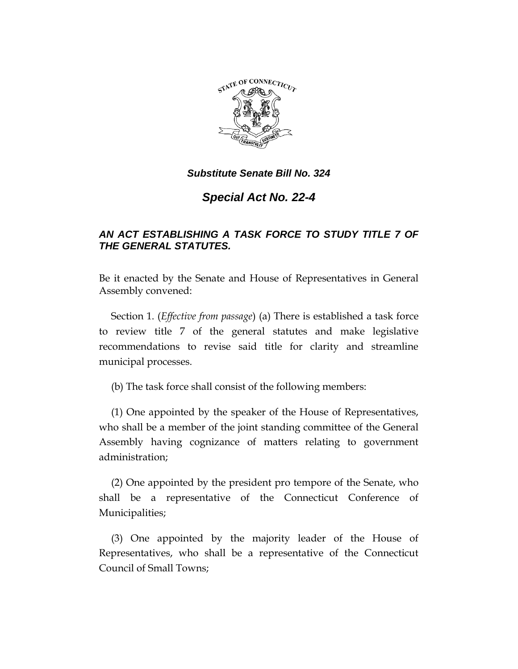

## *Substitute Senate Bill No. 324*

# *Special Act No. 22-4*

## *AN ACT ESTABLISHING A TASK FORCE TO STUDY TITLE 7 OF THE GENERAL STATUTES.*

Be it enacted by the Senate and House of Representatives in General Assembly convened:

Section 1. (*Effective from passage*) (a) There is established a task force to review title 7 of the general statutes and make legislative recommendations to revise said title for clarity and streamline municipal processes.

(b) The task force shall consist of the following members:

(1) One appointed by the speaker of the House of Representatives, who shall be a member of the joint standing committee of the General Assembly having cognizance of matters relating to government administration;

(2) One appointed by the president pro tempore of the Senate, who shall be a representative of the Connecticut Conference of Municipalities;

(3) One appointed by the majority leader of the House of Representatives, who shall be a representative of the Connecticut Council of Small Towns;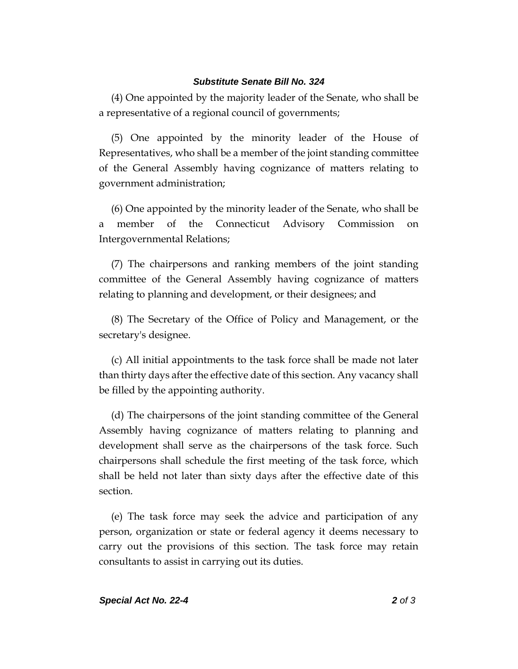#### *Substitute Senate Bill No. 324*

(4) One appointed by the majority leader of the Senate, who shall be a representative of a regional council of governments;

(5) One appointed by the minority leader of the House of Representatives, who shall be a member of the joint standing committee of the General Assembly having cognizance of matters relating to government administration;

(6) One appointed by the minority leader of the Senate, who shall be a member of the Connecticut Advisory Commission on Intergovernmental Relations;

(7) The chairpersons and ranking members of the joint standing committee of the General Assembly having cognizance of matters relating to planning and development, or their designees; and

(8) The Secretary of the Office of Policy and Management, or the secretary's designee.

(c) All initial appointments to the task force shall be made not later than thirty days after the effective date of this section. Any vacancy shall be filled by the appointing authority.

(d) The chairpersons of the joint standing committee of the General Assembly having cognizance of matters relating to planning and development shall serve as the chairpersons of the task force. Such chairpersons shall schedule the first meeting of the task force, which shall be held not later than sixty days after the effective date of this section.

(e) The task force may seek the advice and participation of any person, organization or state or federal agency it deems necessary to carry out the provisions of this section. The task force may retain consultants to assist in carrying out its duties.